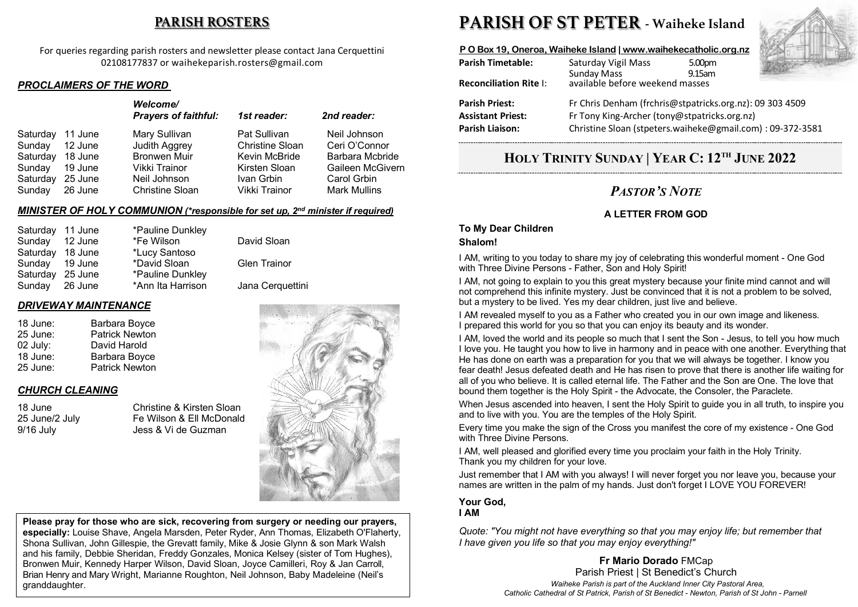# **PARISH ROSTERS**

For queries regarding parish rosters and newsletter please contact Jana Cerquettini 02108177837 or waihekeparish.rosters@gmail.com

#### *PROCLAIMERS OF THE WORD*

|          |         | Welcome/<br><b>Prayers of faithful:</b> | 1st reader:            | 2nd reader:         |
|----------|---------|-----------------------------------------|------------------------|---------------------|
| Saturday | 11 June | Mary Sullivan                           | Pat Sullivan           | Neil Johnson        |
| Sunday   | 12 June | Judith Aggrey                           | <b>Christine Sloan</b> | Ceri O'Connor       |
| Saturday | 18 June | <b>Bronwen Muir</b>                     | Kevin McBride          | Barbara Mcbride     |
| Sunday   | 19 June | Vikki Trainor                           | Kirsten Sloan          | Gaileen McGivern    |
| Saturday | 25 June | Neil Johnson                            | Ivan Grbin             | Carol Grbin         |
| Sunday   | 26 June | Christine Sloan                         | Vikki Trainor          | <b>Mark Mullins</b> |

#### *MINISTER OF HOLY COMMUNION (\*responsible for set up, 2nd minister if required)*

| Saturday 11 June |         | *Pauline Dunkley  |                     |
|------------------|---------|-------------------|---------------------|
| Sunday           | 12 June | *Fe Wilson        | David Sloan         |
| Saturday 18 June |         | *Lucy Santoso     |                     |
| Sunday 19 June   |         | *David Sloan      | <b>Glen Trainor</b> |
| Saturday 25 June |         | *Pauline Dunkley  |                     |
| Sunday 26 June   |         | *Ann Ita Harrison | Jana Cerquettini    |
|                  |         |                   |                     |

### *DRIVEWAY MAINTENANCE*

| 18 June: | Barbara Boyce         |
|----------|-----------------------|
| 25 June: | <b>Patrick Newton</b> |
| 02 July: | David Harold          |
| 18 June: | Barbara Boyce         |
| 25 June: | <b>Patrick Newton</b> |

# *CHURCH CLEANING*

18 June Christine & Kirsten Sloan<br>25 June/2 July Fe Wilson & Ell McDonald 25 June/2 July Fe Wilson & Ell McDonald 9/16 July Jess & Vi de Guzman



**Please pray for those who are sick, recovering from surgery or needing our prayers, especially:** Louise Shave, Angela Marsden, Peter Ryder, Ann Thomas, Elizabeth O'Flaherty, Shona Sullivan, John Gillespie, the Grevatt family, Mike & Josie Glynn & son Mark Walsh and his family, Debbie Sheridan, Freddy Gonzales, Monica Kelsey (sister of Tom Hughes), Bronwen Muir, Kennedy Harper Wilson, David Sloan, Joyce Camilleri, Roy & Jan Carroll, Brian Henry and Mary Wright, Marianne Roughton, Neil Johnson, Baby Madeleine (Neil's granddaughter.

# **PARISH OF ST PETER - Waiheke Island**

# **P O Box 19, Oneroa, Waiheke Island | www.waihekecatholic.org.nz**

| <b>Parish Timetable:</b>      | Saturday Vigil Mass                                       | 5.00pm |  |  |
|-------------------------------|-----------------------------------------------------------|--------|--|--|
| <b>Reconciliation Rite I:</b> | <b>Sunday Mass</b><br>available before weekend masses     | 9.15am |  |  |
| <b>Parish Priest:</b>         | Fr Chris Denham (frchris@stpatricks.org.nz): 09 303 4509  |        |  |  |
| <b>Assistant Priest:</b>      | Fr Tony King-Archer (tony@stpatricks.org.nz)              |        |  |  |
| <b>Parish Liaison:</b>        | Christine Sloan (stpeters.waiheke@gmail.com): 09-372-3581 |        |  |  |

# **HOLY TRINITY SUNDAY | YEAR C: 12TH JUNE 2022**

# *PASTOR'S NOTE*

# **A LETTER FROM GOD**

#### **To My Dear Children**

#### **Shalom!**

I AM, writing to you today to share my joy of celebrating this wonderful moment - One God with Three Divine Persons - Father, Son and Holy Spirit!

I AM, not going to explain to you this great mystery because your finite mind cannot and will not comprehend this infinite mystery. Just be convinced that it is not a problem to be solved, but a mystery to be lived. Yes my dear children, just live and believe.

I AM revealed myself to you as a Father who created you in our own image and likeness. I prepared this world for you so that you can enjoy its beauty and its wonder.

I AM, loved the world and its people so much that I sent the Son - Jesus, to tell you how much I love you. He taught you how to live in harmony and in peace with one another. Everything that He has done on earth was a preparation for you that we will always be together. I know you fear death! Jesus defeated death and He has risen to prove that there is another life waiting for all of you who believe. It is called eternal life. The Father and the Son are One. The love that bound them together is the Holy Spirit - the Advocate, the Consoler, the Paraclete.

When Jesus ascended into heaven, I sent the Holy Spirit to quide you in all truth, to inspire you and to live with you. You are the temples of the Holy Spirit.

Every time you make the sign of the Cross you manifest the core of my existence - One God with Three Divine Persons.

I AM, well pleased and glorified every time you proclaim your faith in the Holy Trinity. Thank you my children for your love.

Just remember that I AM with you always! I will never forget you nor leave you, because your names are written in the palm of my hands. Just don't forget I LOVE YOU FOREVER!

#### **Your God, I AM**

*Quote: "You might not have everything so that you may enjoy life; but remember that I have given you life so that you may enjoy everything!"*

**Fr Mario Dorado** FMCap

Parish Priest | St Benedict's Church *Waiheke Parish is part of the Auckland Inner City Pastoral Area, Catholic Cathedral of St Patrick, Parish of St Benedict - Newton, Parish of St John - Parnell*